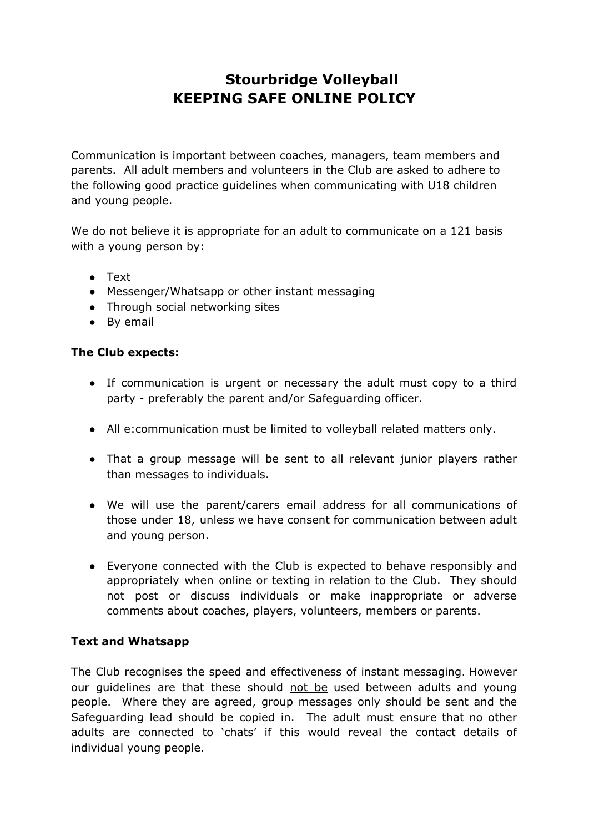# **Stourbridge Volleyball KEEPING SAFE ONLINE POLICY**

Communication is important between coaches, managers, team members and parents. All adult members and volunteers in the Club are asked to adhere to the following good practice guidelines when communicating with U18 children and young people.

We do not believe it is appropriate for an adult to communicate on a 121 basis with a young person by:

- Text
- Messenger/Whatsapp or other instant messaging
- Through social networking sites
- By email

## **The Club expects:**

- If communication is urgent or necessary the adult must copy to a third party - preferably the parent and/or Safeguarding officer.
- All e:communication must be limited to volleyball related matters only.
- That a group message will be sent to all relevant junior players rather than messages to individuals.
- We will use the parent/carers email address for all communications of those under 18, unless we have consent for communication between adult and young person.
- Everyone connected with the Club is expected to behave responsibly and appropriately when online or texting in relation to the Club. They should not post or discuss individuals or make inappropriate or adverse comments about coaches, players, volunteers, members or parents.

## **Text and Whatsapp**

The Club recognises the speed and effectiveness of instant messaging. However our quidelines are that these should not be used between adults and young people. Where they are agreed, group messages only should be sent and the Safeguarding lead should be copied in. The adult must ensure that no other adults are connected to 'chats' if this would reveal the contact details of individual young people.